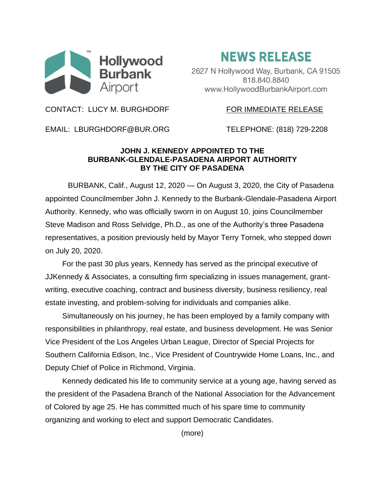

## **NEWS RELEASE**

2627 N Hollywood Way, Burbank, CA 91505 818.840.8840 www.HollywoodBurbankAirport.com

CONTACT: LUCY M. BURGHDORF FOR IMMEDIATE RELEASE

EMAIL: LBURGHDORF@BUR.ORG TELEPHONE: (818) 729-2208

## **JOHN J. KENNEDY APPOINTED TO THE BURBANK-GLENDALE-PASADENA AIRPORT AUTHORITY BY THE CITY OF PASADENA**

BURBANK, Calif., August 12, 2020 — On August 3, 2020, the City of Pasadena appointed Councilmember John J. Kennedy to the Burbank-Glendale-Pasadena Airport Authority. Kennedy, who was officially sworn in on August 10, joins Councilmember Steve Madison and Ross Selvidge, Ph.D., as one of the Authority's three Pasadena representatives, a position previously held by Mayor Terry Tornek, who stepped down on July 20, 2020.

For the past 30 plus years, Kennedy has served as the principal executive of JJKennedy & Associates, a consulting firm specializing in issues management, grantwriting, executive coaching, contract and business diversity, business resiliency, real estate investing, and problem-solving for individuals and companies alike.

Simultaneously on his journey, he has been employed by a family company with responsibilities in philanthropy, real estate, and business development. He was Senior Vice President of the Los Angeles Urban League, Director of Special Projects for Southern California Edison, Inc., Vice President of Countrywide Home Loans, Inc., and Deputy Chief of Police in Richmond, Virginia.

Kennedy dedicated his life to community service at a young age, having served as the president of the Pasadena Branch of the National Association for the Advancement of Colored by age 25. He has committed much of his spare time to community organizing and working to elect and support Democratic Candidates.

(more)